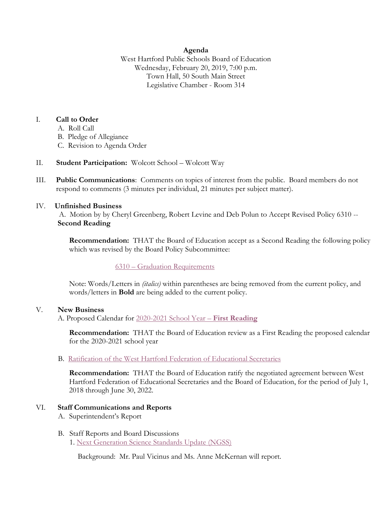### **Agenda**

West Hartford Public Schools Board of Education Wednesday, February 20, 2019, 7:00 p.m. Town Hall, 50 South Main Street Legislative Chamber - Room 314

### I. **Call to Order**

- A. Roll Call
- B. Pledge of Allegiance
- C. Revision to Agenda Order
- II. **Student Participation:** Wolcott School Wolcott Way
- III. **Public Communications**: Comments on topics of interest from the public. Board members do not respond to comments (3 minutes per individual, 21 minutes per subject matter).

### IV. **Unfinished Business**

A. Motion by by Cheryl Greenberg, Robert Levine and Deb Polun to Accept Revised Policy 6310 -- **Second Reading**

**Recommendation:** THAT the Board of Education accept as a Second Reading the following policy which was revised by the Board Policy Subcommittee:

# 6310 – [Graduation Requirements](https://westhartford.finalsite.com/uploaded/BOE/BOE_Documents/20190220/2-20-19_agenda_item_IV.A.,_revised_6310,_grad._req.,_2nd_rdg._(2).pdf?1550255318743)

Note: Words/Letters in *(italics)* within parentheses are being removed from the current policy, and words/letters in **Bold** are being added to the current policy.

#### V. **New Business**

A. Proposed Calendar for 2020-2021 School Year – **[First Reading](https://westhartford.finalsite.com/uploaded/BOE/BOE_Documents/20190220/2-20-19_agenda_item_V.A.,_2020-2021_proposed_calendar.pdf?1550255364741)**

**Recommendation:** THAT the Board of Education review as a First Reading the proposed calendar for the 2020-2021 school year

# B. [Ratification of the West Hartford Federation of Educational Secretaries](https://westhartford.finalsite.com/uploaded/BOE/BOE_Documents/20190220/Ratification_of_secretaries_Contract2019.pdf?1550255505323)

**Recommendation:** THAT the Board of Education ratify the negotiated agreement between West Hartford Federation of Educational Secretaries and the Board of Education, for the period of July 1, 2018 through June 30, 2022.

# VI. **Staff Communications and Reports**

- A. Superintendent's Report
- B. Staff Reports and Board Discussions 1. [Next Generation Science Standards Update \(NGSS\)](https://westhartford.finalsite.com/uploaded/BOE/BOE_Documents/20190220/BOE_science_draft_2019.02.19.pdf?1550255412553)

Background: Mr. Paul Vicinus and Ms. Anne McKernan will report.